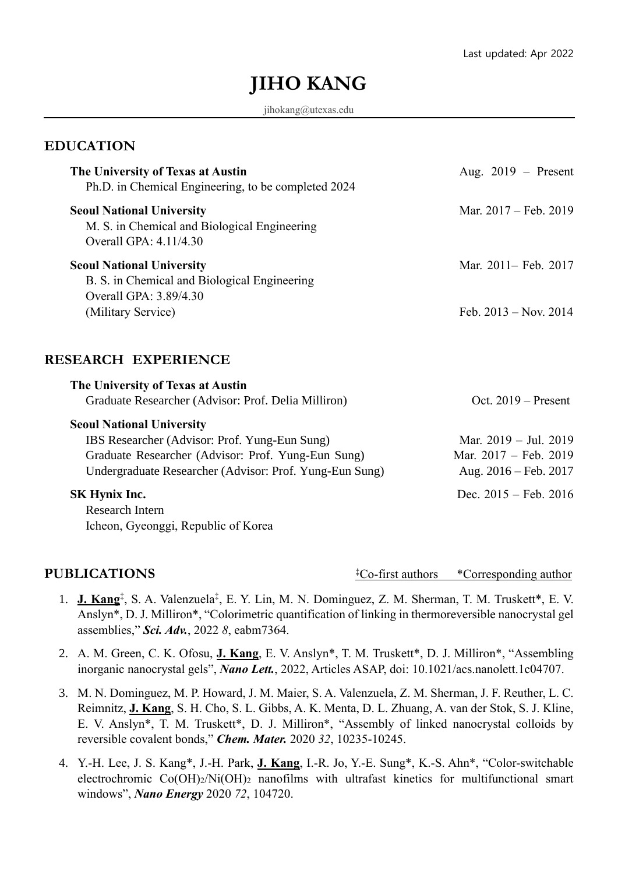# **JIHO KANG**

jihokang@utexas.edu

#### **EDUCATION**

| The University of Texas at Austin<br>Ph.D. in Chemical Engineering, to be completed 2024                               | Aug. $2019$ – Present           |
|------------------------------------------------------------------------------------------------------------------------|---------------------------------|
| <b>Seoul National University</b><br>M. S. in Chemical and Biological Engineering<br>Overall GPA: 4.11/4.30             | Mar. 2017 – Feb. 2019           |
| <b>Seoul National University</b><br>B. S. in Chemical and Biological Engineering<br>Overall GPA: 3.89/4.30             | Mar. 2011– Feb. 2017            |
| (Military Service)                                                                                                     | Feb. $2013 - Nov. 2014$         |
| <b>RESEARCH EXPERIENCE</b><br>The University of Texas at Austin<br>Graduate Researcher (Advisor: Prof. Delia Milliron) | Oct. $2019$ – Present           |
| <b>Seoul National University</b>                                                                                       |                                 |
| IBS Researcher (Advisor: Prof. Yung-Eun Sung)                                                                          | Mar. $2019 - \text{Jul. } 2019$ |
| Graduate Researcher (Advisor: Prof. Yung-Eun Sung)                                                                     | Mar. 2017 - Feb. 2019           |
| Undergraduate Researcher (Advisor: Prof. Yung-Eun Sung)                                                                | Aug. $2016 - \text{Feb. } 2017$ |
| <b>SK Hynix Inc.</b>                                                                                                   | Dec. $2015 - \text{Feb. } 2016$ |
| <b>Research Intern</b>                                                                                                 |                                 |
| Icheon, Gyeonggi, Republic of Korea                                                                                    |                                 |
|                                                                                                                        |                                 |

### **PUBLICATIONS**

**‡**Co-first authors \*Corresponding author

- 1. **J. Kang**<sup>†</sup>, S. A. Valenzuela<sup>‡</sup>, E. Y. Lin, M. N. Dominguez, Z. M. Sherman, T. M. Truskett\*, E. V. Anslyn\*, D. J. Milliron\*, "Colorimetric quantification of linking in thermoreversible nanocrystal gel assemblies," *Sci. Adv.*, 2022 *8*, eabm7364.
- 2. A. M. Green, C. K. Ofosu, **J. Kang**, E. V. Anslyn\*, T. M. Truskett\*, D. J. Milliron\*, "Assembling inorganic nanocrystal gels", *Nano Lett.*, 2022, Articles ASAP, doi: 10.1021/acs.nanolett.1c04707.
- 3. M. N. Dominguez, M. P. Howard, J. M. Maier, S. A. Valenzuela, Z. M. Sherman, J. F. Reuther, L. C. Reimnitz, **J. Kang**, S. H. Cho, S. L. Gibbs, A. K. Menta, D. L. Zhuang, A. van der Stok, S. J. Kline, E. V. Anslyn\*, T. M. Truskett\*, D. J. Milliron\*, "Assembly of linked nanocrystal colloids by reversible covalent bonds," *Chem. Mater.* 2020 *32*, 10235-10245.
- 4. Y.-H. Lee, J. S. Kang\*, J.-H. Park, **J. Kang**, I.-R. Jo, Y.-E. Sung\*, K.-S. Ahn\*, "Color-switchable electrochromic Co(OH)2/Ni(OH)<sup>2</sup> nanofilms with ultrafast kinetics for multifunctional smart windows", *Nano Energy* 2020 *72*, 104720.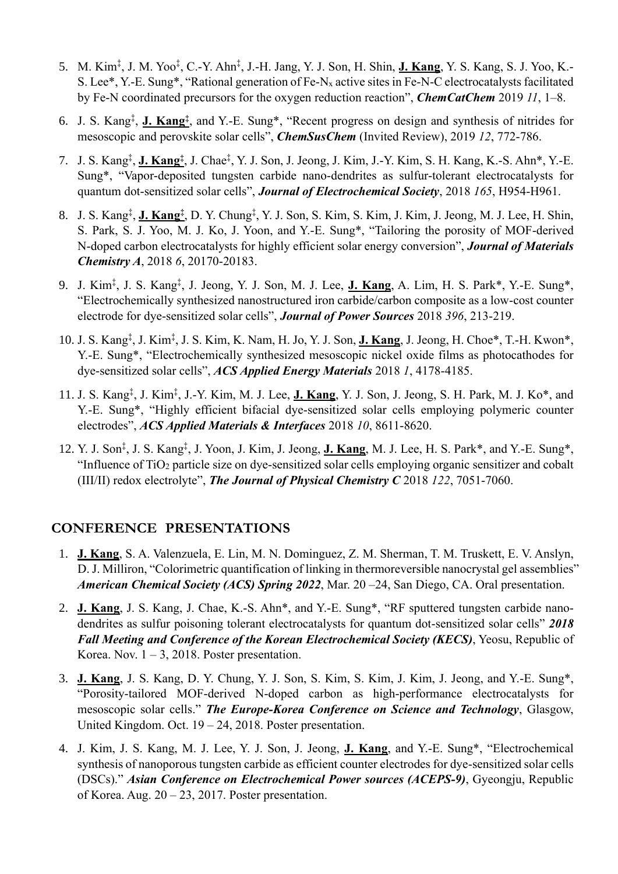- 5. M. Kim‡ , J. M. Yoo‡ , C.-Y. Ahn‡ , J.-H. Jang, Y. J. Son, H. Shin, **J. Kang**, Y. S. Kang, S. J. Yoo, K.- S. Lee\*, Y.-E. Sung\*, "Rational generation of Fe-N<sup>x</sup> active sites in Fe-N-C electrocatalysts facilitated by Fe-N coordinated precursors for the oxygen reduction reaction", *ChemCatChem* 2019 *11*, 1–8.
- 6. J. S. Kang‡ , **J. Kang‡** , and Y.-E. Sung\*, "Recent progress on design and synthesis of nitrides for mesoscopic and perovskite solar cells", *ChemSusChem* (Invited Review), 2019 *12*, 772-786.
- 7. J. S. Kang‡ , **J. Kang‡** , J. Chae‡ , Y. J. Son, J. Jeong, J. Kim, J.-Y. Kim, S. H. Kang, K.-S. Ahn\*, Y.-E. Sung\*, "Vapor-deposited tungsten carbide nano-dendrites as sulfur-tolerant electrocatalysts for quantum dot-sensitized solar cells", *Journal of Electrochemical Society*, 2018 *165*, H954-H961.
- 8. J. S. Kang‡ , **J. Kang‡** , D. Y. Chung‡ , Y. J. Son, S. Kim, S. Kim, J. Kim, J. Jeong, M. J. Lee, H. Shin, S. Park, S. J. Yoo, M. J. Ko, J. Yoon, and Y.-E. Sung\*, "Tailoring the porosity of MOF-derived N-doped carbon electrocatalysts for highly efficient solar energy conversion", *Journal of Materials Chemistry A*, 2018 *6*, 20170-20183.
- 9. J. Kim‡ , J. S. Kang‡ , J. Jeong, Y. J. Son, M. J. Lee, **J. Kang**, A. Lim, H. S. Park\*, Y.-E. Sung\*, "Electrochemically synthesized nanostructured iron carbide/carbon composite as a low-cost counter electrode for dye-sensitized solar cells", *Journal of Power Sources* 2018 *396*, 213-219.
- 10. J. S. Kang‡ , J. Kim‡ , J. S. Kim, K. Nam, H. Jo, Y. J. Son, **J. Kang**, J. Jeong, H. Choe\*, T.-H. Kwon\*, Y.-E. Sung\*, "Electrochemically synthesized mesoscopic nickel oxide films as photocathodes for dye-sensitized solar cells", *ACS Applied Energy Materials* 2018 *1*, 4178-4185.
- 11. J. S. Kang‡ , J. Kim‡ , J.-Y. Kim, M. J. Lee, **J. Kang**, Y. J. Son, J. Jeong, S. H. Park, M. J. Ko\*, and Y.-E. Sung\*, "Highly efficient bifacial dye-sensitized solar cells employing polymeric counter electrodes", *ACS Applied Materials & Interfaces* 2018 *10*, 8611-8620.
- 12. Y. J. Son‡ , J. S. Kang‡ , J. Yoon, J. Kim, J. Jeong, **J. Kang**, M. J. Lee, H. S. Park\*, and Y.-E. Sung\*, "Influence of TiO<sup>2</sup> particle size on dye-sensitized solar cells employing organic sensitizer and cobalt (III/II) redox electrolyte", *The Journal of Physical Chemistry C* 2018 *122*, 7051-7060.

## **CONFERENCE PRESENTATIONS**

- 1. **J. Kang**, S. A. Valenzuela, E. Lin, M. N. Dominguez, Z. M. Sherman, T. M. Truskett, E. V. Anslyn, D. J. Milliron, "Colorimetric quantification of linking in thermoreversible nanocrystal gel assemblies" *American Chemical Society (ACS) Spring 2022*, Mar. 20 –24, San Diego, CA. Oral presentation.
- 2. **J. Kang**, J. S. Kang, J. Chae, K.-S. Ahn\*, and Y.-E. Sung\*, "RF sputtered tungsten carbide nanodendrites as sulfur poisoning tolerant electrocatalysts for quantum dot-sensitized solar cells" *2018 Fall Meeting and Conference of the Korean Electrochemical Society (KECS)*, Yeosu, Republic of Korea. Nov.  $1 - 3$ , 2018. Poster presentation.
- 3. **J. Kang**, J. S. Kang, D. Y. Chung, Y. J. Son, S. Kim, S. Kim, J. Kim, J. Jeong, and Y.-E. Sung\*, "Porosity-tailored MOF-derived N-doped carbon as high-performance electrocatalysts for mesoscopic solar cells." *The Europe-Korea Conference on Science and Technology*, Glasgow, United Kingdom. Oct. 19 – 24, 2018. Poster presentation.
- 4. J. Kim, J. S. Kang, M. J. Lee, Y. J. Son, J. Jeong, **J. Kang**, and Y.-E. Sung\*, "Electrochemical synthesis of nanoporous tungsten carbide as efficient counter electrodes for dye-sensitized solar cells (DSCs)." *Asian Conference on Electrochemical Power sources (ACEPS-9)*, Gyeongju, Republic of Korea. Aug. 20 – 23, 2017. Poster presentation.